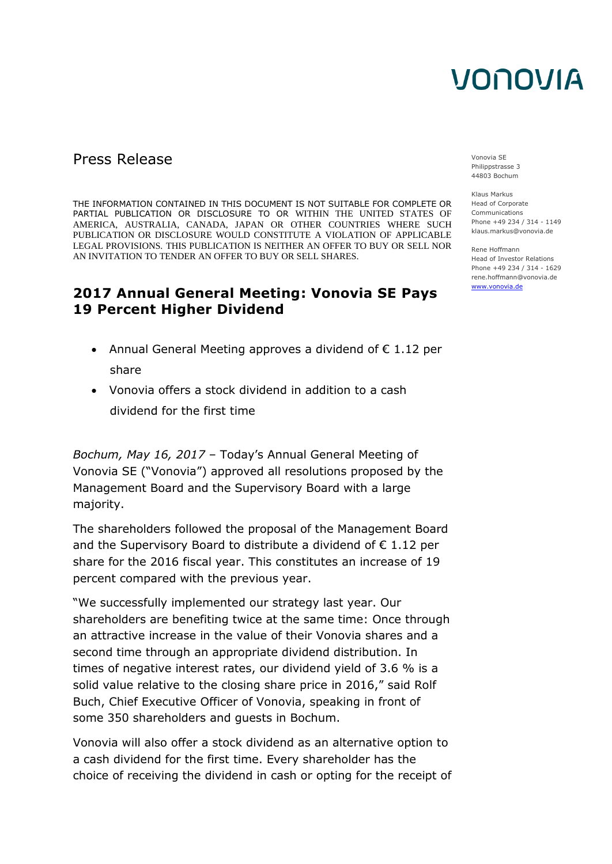### Press Release Vonovia SE

THE INFORMATION CONTAINED IN THIS DOCUMENT IS NOT SUITABLE FOR COMPLETE OR PARTIAL PUBLICATION OR DISCLOSURE TO OR WITHIN THE UNITED STATES OF AMERICA, AUSTRALIA, CANADA, JAPAN OR OTHER COUNTRIES WHERE SUCH PUBLICATION OR DISCLOSURE WOULD CONSTITUTE A VIOLATION OF APPLICABLE LEGAL PROVISIONS. THIS PUBLICATION IS NEITHER AN OFFER TO BUY OR SELL NOR AN INVITATION TO TENDER AN OFFER TO BUY OR SELL SHARES.

### **2017 Annual General Meeting: Vonovia SE Pays 19 Percent Higher Dividend**

- Annual General Meeting approves a dividend of  $\epsilon$  1.12 per share
- Vonovia offers a stock dividend in addition to a cash dividend for the first time

*Bochum, May 16, 2017* – Today's Annual General Meeting of Vonovia SE ("Vonovia") approved all resolutions proposed by the Management Board and the Supervisory Board with a large majority.

The shareholders followed the proposal of the Management Board and the Supervisory Board to distribute a dividend of  $\epsilon$  1.12 per share for the 2016 fiscal year. This constitutes an increase of 19 percent compared with the previous year.

"We successfully implemented our strategy last year. Our shareholders are benefiting twice at the same time: Once through an attractive increase in the value of their Vonovia shares and a second time through an appropriate dividend distribution. In times of negative interest rates, our dividend yield of 3.6 % is a solid value relative to the closing share price in 2016," said Rolf Buch, Chief Executive Officer of Vonovia, speaking in front of some 350 shareholders and guests in Bochum.

Vonovia will also offer a stock dividend as an alternative option to a cash dividend for the first time. Every shareholder has the choice of receiving the dividend in cash or opting for the receipt of Philippstrasse 3 44803 Bochum

Klaus Markus Head of Corporate Communications Phone +49 234 / 314 - 1149 klaus.markus@vonovia.de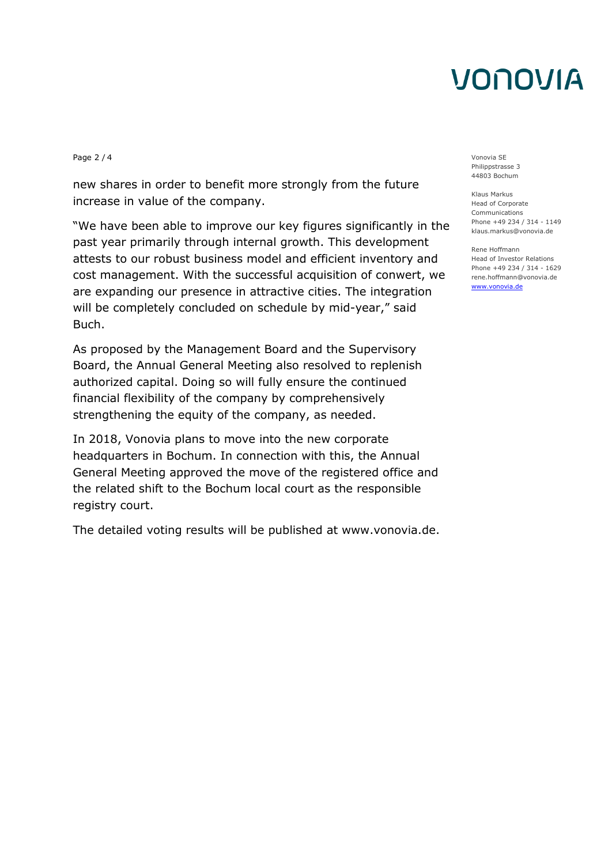Page 2 / 4 Vonovia SE

new shares in order to benefit more strongly from the future increase in value of the company.

"We have been able to improve our key figures significantly in the past year primarily through internal growth. This development attests to our robust business model and efficient inventory and cost management. With the successful acquisition of conwert, we are expanding our presence in attractive cities. The integration will be completely concluded on schedule by mid-year," said Buch.

As proposed by the Management Board and the Supervisory Board, the Annual General Meeting also resolved to replenish authorized capital. Doing so will fully ensure the continued financial flexibility of the company by comprehensively strengthening the equity of the company, as needed.

In 2018, Vonovia plans to move into the new corporate headquarters in Bochum. In connection with this, the Annual General Meeting approved the move of the registered office and the related shift to the Bochum local court as the responsible registry court.

The detailed voting results will be published at www.vonovia.de.

Philippstrasse 3 44803 Bochum

Klaus Markus Head of Corporate Communications Phone +49 234 / 314 - 1149 klaus.markus@vonovia.de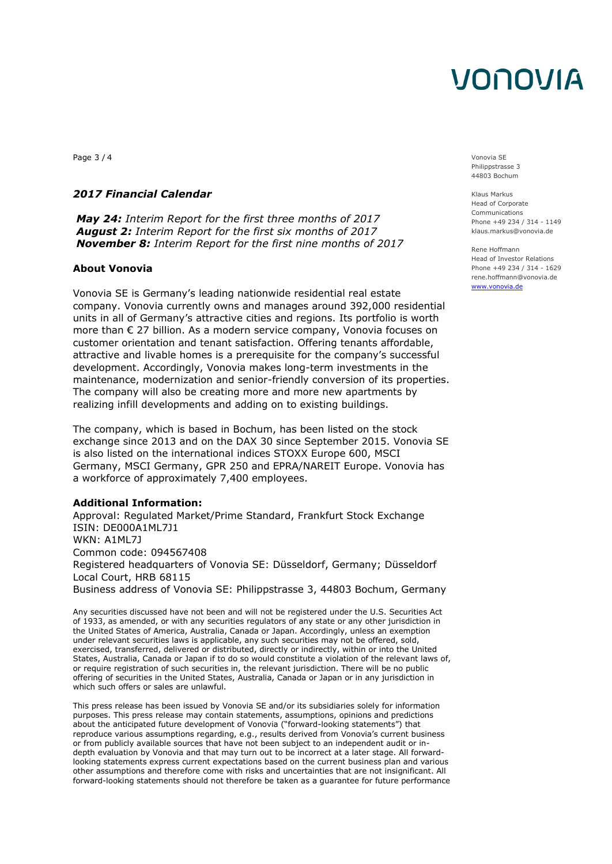Page 3 / 4 Vonovia SE

#### *2017 Financial Calendar*

*May 24: Interim Report for the first three months of 2017 August 2: Interim Report for the first six months of 2017 November 8: Interim Report for the first nine months of 2017*

#### **About Vonovia**

Vonovia SE is Germany's leading nationwide residential real estate company. Vonovia currently owns and manages around 392,000 residential units in all of Germany's attractive cities and regions. Its portfolio is worth more than € 27 billion. As a modern service company, Vonovia focuses on customer orientation and tenant satisfaction. Offering tenants affordable, attractive and livable homes is a prerequisite for the company's successful development. Accordingly, Vonovia makes long-term investments in the maintenance, modernization and senior-friendly conversion of its properties. The company will also be creating more and more new apartments by realizing infill developments and adding on to existing buildings.

The company, which is based in Bochum, has been listed on the stock exchange since 2013 and on the DAX 30 since September 2015. Vonovia SE is also listed on the international indices STOXX Europe 600, MSCI Germany, MSCI Germany, GPR 250 and EPRA/NAREIT Europe. Vonovia has a workforce of approximately 7,400 employees.

#### **Additional Information:**

Approval: Regulated Market/Prime Standard, Frankfurt Stock Exchange ISIN: DE000A1ML7J1 WKN: A1ML7J Common code: 094567408 Registered headquarters of Vonovia SE: Düsseldorf, Germany; Düsseldorf Local Court, HRB 68115 Business address of Vonovia SE: Philippstrasse 3, 44803 Bochum, Germany

Any securities discussed have not been and will not be registered under the U.S. Securities Act of 1933, as amended, or with any securities regulators of any state or any other jurisdiction in the United States of America, Australia, Canada or Japan. Accordingly, unless an exemption under relevant securities laws is applicable, any such securities may not be offered, sold, exercised, transferred, delivered or distributed, directly or indirectly, within or into the United States, Australia, Canada or Japan if to do so would constitute a violation of the relevant laws of, or require registration of such securities in, the relevant jurisdiction. There will be no public offering of securities in the United States, Australia, Canada or Japan or in any jurisdiction in which such offers or sales are unlawful.

This press release has been issued by Vonovia SE and/or its subsidiaries solely for information purposes. This press release may contain statements, assumptions, opinions and predictions about the anticipated future development of Vonovia ("forward-looking statements") that reproduce various assumptions regarding, e.g., results derived from Vonovia's current business or from publicly available sources that have not been subject to an independent audit or indepth evaluation by Vonovia and that may turn out to be incorrect at a later stage. All forwardlooking statements express current expectations based on the current business plan and various other assumptions and therefore come with risks and uncertainties that are not insignificant. All forward-looking statements should not therefore be taken as a guarantee for future performance Philippstrasse 3 44803 Bochum

Klaus Markus Head of Corporate Communications Phone +49 234 / 314 - 1149 klaus.markus@vonovia.de